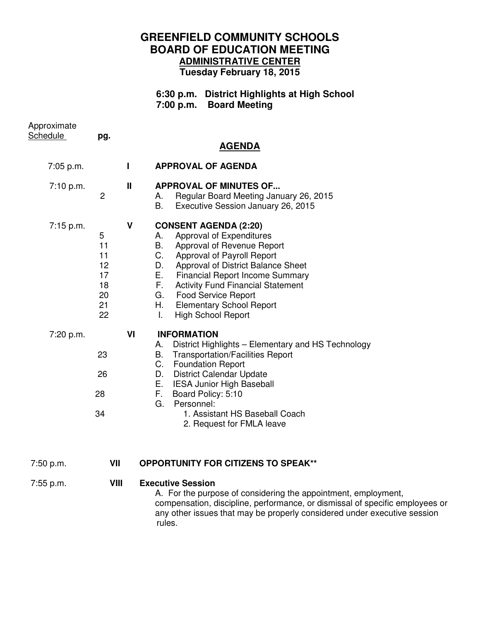## **GREENFIELD COMMUNITY SCHOOLS BOARD OF EDUCATION MEETING ADMINISTRATIVE CENTER Tuesday February 18, 2015**

## **6:30 p.m. District Highlights at High School 7:00 p.m. Board Meeting**

| Approximate<br>Schedule | pg.                                               |              | <b>AGENDA</b>                                                                                                                                                                                                                                                                                                                                                                                        |
|-------------------------|---------------------------------------------------|--------------|------------------------------------------------------------------------------------------------------------------------------------------------------------------------------------------------------------------------------------------------------------------------------------------------------------------------------------------------------------------------------------------------------|
| 7:05 p.m.               |                                                   | $\mathbf{I}$ | <b>APPROVAL OF AGENDA</b>                                                                                                                                                                                                                                                                                                                                                                            |
| 7:10 p.m.               | $\overline{2}$                                    | $\mathbf{I}$ | <b>APPROVAL OF MINUTES OF</b><br>Regular Board Meeting January 26, 2015<br>А.<br><b>B.</b><br>Executive Session January 26, 2015                                                                                                                                                                                                                                                                     |
| 7:15 p.m.               | 5<br>11<br>11<br>12<br>17<br>18<br>20<br>21<br>22 | V            | <b>CONSENT AGENDA (2:20)</b><br>Approval of Expenditures<br>А.<br>B.<br>Approval of Revenue Report<br>C.<br>Approval of Payroll Report<br>D.<br>Approval of District Balance Sheet<br>Е.<br><b>Financial Report Income Summary</b><br>F.<br><b>Activity Fund Financial Statement</b><br>G.<br><b>Food Service Report</b><br>Η.<br><b>Elementary School Report</b><br>T.<br><b>High School Report</b> |
| 7:20 p.m.               | 23<br>26<br>28<br>34                              | VI           | <b>INFORMATION</b><br>District Highlights - Elementary and HS Technology<br>А.<br>В.<br><b>Transportation/Facilities Report</b><br>C.<br><b>Foundation Report</b><br><b>District Calendar Update</b><br>D.<br><b>IESA Junior High Baseball</b><br>E. .<br>F.<br>Board Policy: 5:10<br>G.<br>Personnel:<br>1. Assistant HS Baseball Coach<br>2. Request for FMLA leave                                |
| 7:50 p.m.               | VII                                               |              | <b>OPPORTUNITY FOR CITIZENS TO SPEAK**</b>                                                                                                                                                                                                                                                                                                                                                           |
| 7:55 p.m.               | VIII                                              |              | <b>Executive Session</b><br>A. For the purpose of considering the appointment, employment,<br>compensation, discipline, performance, or dismissal of specific employees or<br>any other issues that may be properly considered under executive session<br>rules.                                                                                                                                     |